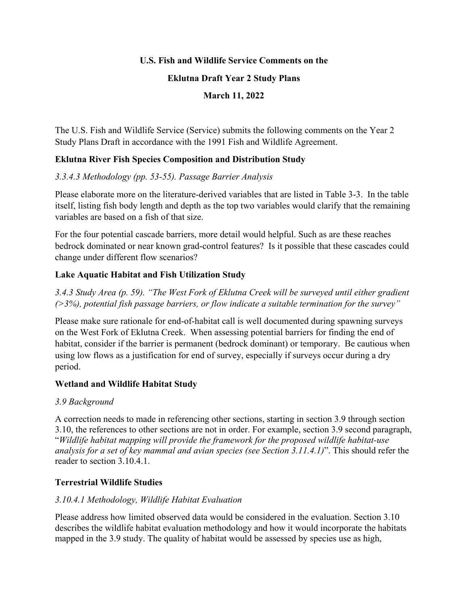### **U.S. Fish and Wildlife Service Comments on the**

#### **Eklutna Draft Year 2 Study Plans**

### **March 11, 2022**

The U.S. Fish and Wildlife Service (Service) submits the following comments on the Year 2 Study Plans Draft in accordance with the 1991 Fish and Wildlife Agreement.

## **Eklutna River Fish Species Composition and Distribution Study**

## *3.3.4.3 Methodology (pp. 53-55). Passage Barrier Analysis*

Please elaborate more on the literature-derived variables that are listed in Table 3-3. In the table itself, listing fish body length and depth as the top two variables would clarify that the remaining variables are based on a fish of that size.

For the four potential cascade barriers, more detail would helpful. Such as are these reaches bedrock dominated or near known grad-control features? Is it possible that these cascades could change under different flow scenarios?

## **Lake Aquatic Habitat and Fish Utilization Study**

*3.4.3 Study Area (p. 59). "The West Fork of Eklutna Creek will be surveyed until either gradient (>3%), potential fish passage barriers, or flow indicate a suitable termination for the survey"*

Please make sure rationale for end-of-habitat call is well documented during spawning surveys on the West Fork of Eklutna Creek. When assessing potential barriers for finding the end of habitat, consider if the barrier is permanent (bedrock dominant) or temporary. Be cautious when using low flows as a justification for end of survey, especially if surveys occur during a dry period.

# **Wetland and Wildlife Habitat Study**

### *3.9 Background*

A correction needs to made in referencing other sections, starting in section 3.9 through section 3.10, the references to other sections are not in order. For example, section 3.9 second paragraph, "*Wildlife habitat mapping will provide the framework for the proposed wildlife habitat-use analysis for a set of key mammal and avian species (see Section 3.11.4.1)*". This should refer the reader to section 3.10.4.1.

# **Terrestrial Wildlife Studies**

### *3.10.4.1 Methodology, Wildlife Habitat Evaluation*

Please address how limited observed data would be considered in the evaluation. Section 3.10 describes the wildlife habitat evaluation methodology and how it would incorporate the habitats mapped in the 3.9 study. The quality of habitat would be assessed by species use as high,